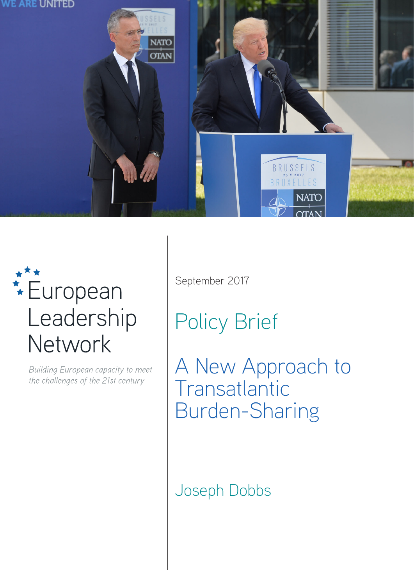

# **\*\*\***<br>European Leadership Network

Building European capacity to meet the challenges of the 21st century

September 2017

Policy Brief

A New Approach to **Transatlantic** Burden-Sharing

Joseph Dobbs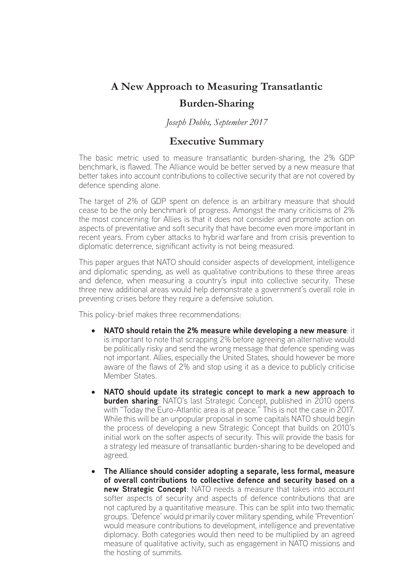## **A New Approach to Measuring Transatlantic Burden-Sharing**

*Joseph Dobbs, September 2017*

## **Executive Summary**

The basic metric used to measure transatlantic burden-sharing, the 2% GDP benchmark, is flawed. The Alliance would be better served by a new measure that better takes into account contributions to collective security that are not covered by defence spending alone.

The target of 2% of GDP spent on defence is an arbitrary measure that should cease to be the only benchmark of progress. Amongst the many criticisms of 2% the most concerning for Allies is that it does not consider and promote action on aspects of preventative and soft security that have become even more important in recent years. From cyber attacks to hybrid warfare and from crisis prevention to diplomatic deterrence, significant activity is not being measured.

This paper argues that NATO should consider aspects of development, intelligence and diplomatic spending, as well as qualitative contributions to these three areas and defence, when measuring a country's input into collective security. These three new additional areas would help demonstrate a government's overall role in preventing crises before they require a defensive solution.

This policy-brief makes three recommendations:

- • **NATO should retain the 2% measure while developing a new measure**: it is important to note that scrapping 2% before agreeing an alternative would be politically risky and send the wrong message that defence spending was not important. Allies, especially the United States, should however be more aware of the flaws of 2% and stop using it as a device to publicly criticise Member States.
- • **NATO should update its strategic concept to mark a new approach to burden sharing**: NATO's last Strategic Concept, published in 2010 opens with "Today the Euro-Atlantic area is at peace." This is not the case in 2017. While this will be an unpopular proposal in some capitals NATO should begin the process of developing a new Strategic Concept that builds on 2010's initial work on the softer aspects of security. This will provide the basis for a strategy led measure of transatlantic burden-sharing to be developed and agreed.
- The Alliance should consider adopting a separate, less formal, measure **of overall contributions to collective defence and security based on a new Strategic Concept:** NATO needs a measure that takes into account softer aspects of security and aspects of defence contributions that are not captured by a quantitative measure. This can be split into two thematic groups. 'Defence' would primarily cover military spending, while 'Prevention' would measure contributions to development, intelligence and preventative diplomacy. Both categories would then need to be multiplied by an agreed measure of qualitative activity, such as engagement in NATO missions and the hosting of summits.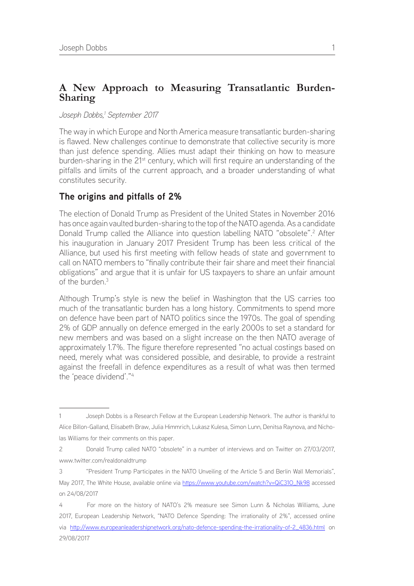## **A New Approach to Measuring Transatlantic Burden-Sharing**

#### *Joseph Dobbs,1 September 2017*

The way in which Europe and North America measure transatlantic burden-sharing is flawed. New challenges continue to demonstrate that collective security is more than just defence spending. Allies must adapt their thinking on how to measure burden-sharing in the 21<sup>st</sup> century, which will first require an understanding of the pitfalls and limits of the current approach, and a broader understanding of what constitutes security.

## **The origins and pitfalls of 2%**

The election of Donald Trump as President of the United States in November 2016 has once again vaulted burden-sharing to the top of the NATO agenda. As a candidate Donald Trump called the Alliance into question labelling NATO "obsolete".<sup>2</sup> After his inauguration in January 2017 President Trump has been less critical of the Alliance, but used his first meeting with fellow heads of state and government to call on NATO members to "finally contribute their fair share and meet their financial obligations" and argue that it is unfair for US taxpayers to share an unfair amount of the burden.3

Although Trump's style is new the belief in Washington that the US carries too much of the transatlantic burden has a long history. Commitments to spend more on defence have been part of NATO politics since the 1970s. The goal of spending 2% of GDP annually on defence emerged in the early 2000s to set a standard for new members and was based on a slight increase on the then NATO average of approximately 1.7%. The figure therefore represented "no actual costings based on need, merely what was considered possible, and desirable, to provide a restraint against the freefall in defence expenditures as a result of what was then termed the 'peace dividend'."4

las Williams for their comments on this paper.

<sup>1</sup> Joseph Dobbs is a Research Fellow at the European Leadership Network. The author is thankful to Alice Billon-Galland, Elisabeth Braw, Julia Himmrich, Lukasz Kulesa, Simon Lunn, Denitsa Raynova, and Nicho-

<sup>2</sup> Donald Trump called NATO "obsolete" in a number of interviews and on Twitter on 27/03/2017, www.twitter.com/realdonaldtrump

<sup>3 &</sup>quot;President Trump Participates in the NATO Unveiling of the Article 5 and Berlin Wall Memorials", May 2017, The White House, available online via https://www.youtube.com/watch?v=QiC310\_Nk98 accessed on 24/08/2017

<sup>4</sup> For more on the history of NATO's 2% measure see Simon Lunn & Nicholas Williams, June 2017, European Leadership Network, "NATO Defence Spending: The irrationality of 2%", accessed online via [http://www.europeanleadershipnetwork.org/nato-defence-spending-the-irrationality-of-2\\_4836.html](http://www.europeanleadershipnetwork.org/nato-defence-spending-the-irrationality-of-2_4836.html) on 29/08/2017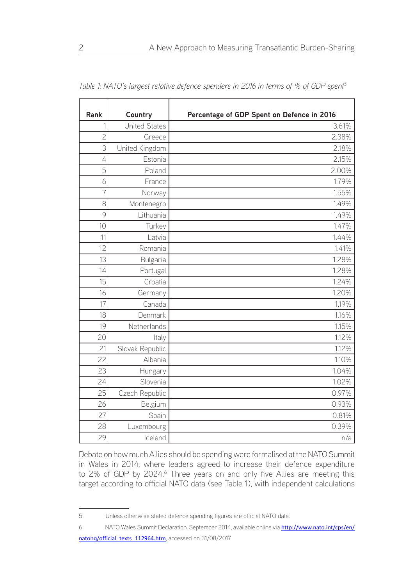| Rank           | Country              | Percentage of GDP Spent on Defence in 2016 |  |
|----------------|----------------------|--------------------------------------------|--|
| 1              | <b>United States</b> | 3.61%                                      |  |
| $\overline{c}$ | Greece               | 2.38%                                      |  |
| 3              | United Kingdom       | 2.18%                                      |  |
| 4              | Estonia              | 2.15%                                      |  |
| 5              | Poland               | 2.00%                                      |  |
| 6              | France               | 1.79%                                      |  |
| $\overline{7}$ | Norway               | 1.55%                                      |  |
| 8              | Montenegro           | 1.49%                                      |  |
| 9              | Lithuania            | 1.49%                                      |  |
| 10             | Turkey               | 1.47%                                      |  |
| 11             | Latvia               | 1.44%                                      |  |
| 12             | Romania              | 1.41%                                      |  |
| 13             | Bulgaria             | 1.28%                                      |  |
| 14             | Portugal             | 1.28%                                      |  |
| 15             | Croatia              | 1.24%                                      |  |
| 16             | Germany              | 1.20%                                      |  |
| 17             | Canada               | 1.19%                                      |  |
| 18             | Denmark              | 1.16%                                      |  |
| 19             | Netherlands          | 1.15%                                      |  |
| 20             | Italy                | 1.12%                                      |  |
| 21             | Slovak Republic      | 1.12%                                      |  |
| 22             | Albania              | 1.10%                                      |  |
| 23             | Hungary              | 1.04%                                      |  |
| 24             | Slovenia             | 1.02%                                      |  |
| 25             | Czech Republic       | 0.97%                                      |  |
| 26             | Belgium              | 0.93%                                      |  |
| 27             | Spain                | 0.81%                                      |  |
| 28             | Luxembourg           | 0.39%                                      |  |
| 29             | Iceland              | n/a                                        |  |

*Table 1: NATO's largest relative defence spenders in 2016 in terms of % of GDP spent5*

Debate on how much Allies should be spending were formalised at the NATO Summit in Wales in 2014, where leaders agreed to increase their defence expenditure to 2% of GDP by 2024.<sup>6</sup> Three years on and only five Allies are meeting this target according to official NATO data (see Table 1), with independent calculations

Unless otherwise stated defence spending figures are official NATO data.

<sup>6</sup> NATO Wales Summit Declaration, September 2014, available online via [http://www.nato.int/cps/en/](http://www.nato.int/cps/en/natohq/official_texts_112964.htm) [natohq/official\\_texts\\_112964.htm](http://www.nato.int/cps/en/natohq/official_texts_112964.htm), accessed on 31/08/2017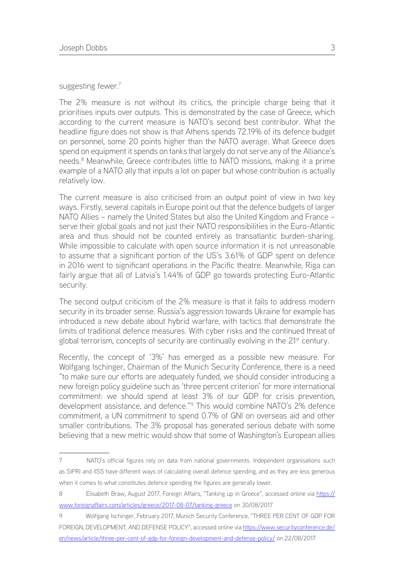suggesting fewer.<sup>7</sup>

The 2% measure is not without its critics, the principle charge being that it prioritises inputs over outputs. This is demonstrated by the case of Greece, which according to the current measure is NATO's second best contributor. What the headline figure does not show is that Athens spends 72.19% of its defence budget on personnel, some 20 points higher than the NATO average. What Greece does spend on equipment it spends on tanks that largely do not serve any of the Alliance's needs.<sup>8</sup> Meanwhile, Greece contributes little to NATO missions, making it a prime example of a NATO ally that inputs a lot on paper but whose contribution is actually relatively low.

The current measure is also criticised from an output point of view in two key ways. Firstly, several capitals in Europe point out that the defence budgets of larger NATO Allies – namely the United States but also the United Kingdom and France – serve their global goals and not just their NATO responsibilities in the Euro-Atlantic area and thus should not be counted entirely as transatlantic burden-sharing. While impossible to calculate with open source information it is not unreasonable to assume that a significant portion of the US's 3.61% of GDP spent on defence in 2016 went to significant operations in the Pacific theatre. Meanwhile, Riga can fairly argue that all of Latvia's 1.44% of GDP go towards protecting Euro-Atlantic security.

The second output criticism of the 2% measure is that it fails to address modern security in its broader sense. Russia's aggression towards Ukraine for example has introduced a new debate about hybrid warfare, with tactics that demonstrate the limits of traditional defence measures. With cyber risks and the continued threat of global terrorism, concepts of security are continually evolving in the 21<sup>st</sup> century.

Recently, the concept of '3%' has emerged as a possible new measure. For Wolfgang Ischinger, Chairman of the Munich Security Conference, there is a need "to make sure our efforts are adequately funded, we should consider introducing a new foreign policy guideline such as 'three percent criterion' for more international commitment: we should spend at least 3% of our GDP for crisis prevention, development assistance, and defence."9 This would combine NATO's 2% defence commitment, a UN commitment to spend 0.7% of GNI on overseas aid and other smaller contributions. The 3% proposal has generated serious debate with some believing that a new metric would show that some of Washington's European allies

<sup>7</sup> NATO's official figures rely on data from national governments. Independent organisations such as SIPRI and IISS have different ways of calculating overall defence spending, and as they are less generous when it comes to what constitutes defence spending the figures are generally lower.

<sup>8</sup> Elisabeth Braw, August 2017, Foreign Affairs, "Tanking up in Greece", accessed online via [https://](https://www.foreignaffairs.com/articles/greece/2017-08-07/tanking-greece) [www.foreignaffairs.com/articles/greece/2017-08-07/tanking-greece](https://www.foreignaffairs.com/articles/greece/2017-08-07/tanking-greece) on 30/08/2017

<sup>9</sup> Wolfgang Ischinger, February 2017, Munich Security Conference, "THREE PER CENT OF GDP FOR FOREIGN, DEVELOPMENT, AND DEFENSE POLICY", accessed online via [https://www.securityconference.de/](https://www.securityconference.de/en/news/article/three-per-cent-of-gdp-for-foreign-development-and-defense-policy/) [en/news/article/three-per-cent-of-gdp-for-foreign-development-and-defense-policy/](https://www.securityconference.de/en/news/article/three-per-cent-of-gdp-for-foreign-development-and-defense-policy/) on 22/08/2017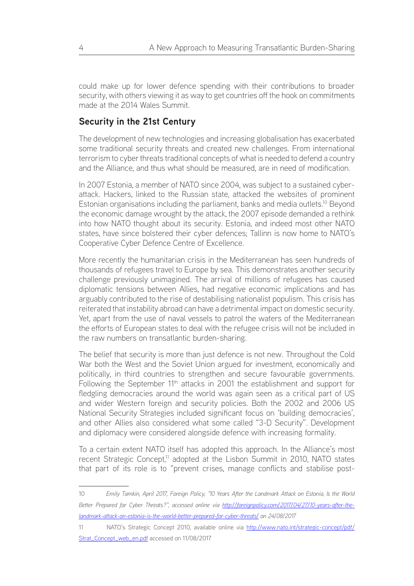could make up for lower defence spending with their contributions to broader security, with others viewing it as way to get countries off the hook on commitments made at the 2014 Wales Summit.

## **Security in the 21st Century**

The development of new technologies and increasing globalisation has exacerbated some traditional security threats and created new challenges. From international terrorism to cyber threats traditional concepts of what is needed to defend a country and the Alliance, and thus what should be measured, are in need of modification.

In 2007 Estonia, a member of NATO since 2004, was subject to a sustained cyberattack. Hackers, linked to the Russian state, attacked the websites of prominent Estonian organisations including the parliament, banks and media outlets.<sup>10</sup> Beyond the economic damage wrought by the attack, the 2007 episode demanded a rethink into how NATO thought about its security. Estonia, and indeed most other NATO states, have since bolstered their cyber defences; Tallinn is now home to NATO's Cooperative Cyber Defence Centre of Excellence.

More recently the humanitarian crisis in the Mediterranean has seen hundreds of thousands of refugees travel to Europe by sea. This demonstrates another security challenge previously unimagined. The arrival of millions of refugees has caused diplomatic tensions between Allies, had negative economic implications and has arguably contributed to the rise of destabilising nationalist populism. This crisis has reiterated that instability abroad can have a detrimental impact on domestic security. Yet, apart from the use of naval vessels to patrol the waters of the Mediterranean the efforts of European states to deal with the refugee crisis will not be included in the raw numbers on transatlantic burden-sharing.

The belief that security is more than just defence is not new. Throughout the Cold War both the West and the Soviet Union argued for investment, economically and politically, in third countries to strengthen and secure favourable governments. Following the September 11<sup>th</sup> attacks in 2001 the establishment and support for fledgling democracies around the world was again seen as a critical part of US and wider Western foreign and security policies. Both the 2002 and 2006 US National Security Strategies included significant focus on 'building democracies', and other Allies also considered what some called "3-D Security". Development and diplomacy were considered alongside defence with increasing formality.

To a certain extent NATO itself has adopted this approach. In the Alliance's most recent Strategic Concept,<sup>11</sup> adopted at the Lisbon Summit in 2010, NATO states that part of its role is to "prevent crises, manage conflicts and stabilise post-

<sup>10</sup> *Emily Tamkin, April 2017, Foreign Policy, "10 Years After the Landmark Attack on Estonia, Is the World*  Better Prepared for Cyber Threats?", accessed online via [http://foreignpolicy.com/2017/04/27/10-years-after-the](http://foreignpolicy.com/2017/04/27/10-years-after-the-landmark-attack-on-estonia-is-the-world-better-prepared-for-cyber-threats/)*[landmark-attack-on-estonia-is-the-world-better-prepared-for-cyber-threats/](http://foreignpolicy.com/2017/04/27/10-years-after-the-landmark-attack-on-estonia-is-the-world-better-prepared-for-cyber-threats/) on 24/08/2017*

<sup>11</sup> NATO's Strategic Concept 2010, available online via [http://www.nato.int/strategic-concept/pdf/](http://www.nato.int/strategic-concept/pdf/Strat_Concept_web_en.pdf) [Strat\\_Concept\\_web\\_en.pdf](http://www.nato.int/strategic-concept/pdf/Strat_Concept_web_en.pdf) accessed on 11/08/2017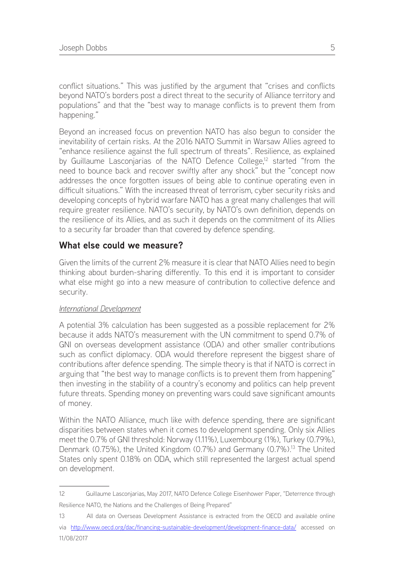conflict situations." This was justified by the argument that "crises and conflicts beyond NATO's borders post a direct threat to the security of Alliance territory and populations" and that the "best way to manage conflicts is to prevent them from happening."

Beyond an increased focus on prevention NATO has also begun to consider the inevitability of certain risks. At the 2016 NATO Summit in Warsaw Allies agreed to "enhance resilience against the full spectrum of threats". Resilience, as explained by Guillaume Lasconjarias of the NATO Defence College,<sup>12</sup> started "from the need to bounce back and recover swiftly after any shock" but the "concept now addresses the once forgotten issues of being able to continue operating even in difficult situations." With the increased threat of terrorism, cyber security risks and developing concepts of hybrid warfare NATO has a great many challenges that will require greater resilience. NATO's security, by NATO's own definition, depends on the resilience of its Allies, and as such it depends on the commitment of its Allies to a security far broader than that covered by defence spending.

## **What else could we measure?**

Given the limits of the current 2% measure it is clear that NATO Allies need to begin thinking about burden-sharing differently. To this end it is important to consider what else might go into a new measure of contribution to collective defence and security.

#### *International Development*

A potential 3% calculation has been suggested as a possible replacement for 2% because it adds NATO's measurement with the UN commitment to spend 0.7% of GNI on overseas development assistance (ODA) and other smaller contributions such as conflict diplomacy. ODA would therefore represent the biggest share of contributions after defence spending. The simple theory is that if NATO is correct in arguing that "the best way to manage conflicts is to prevent them from happening" then investing in the stability of a country's economy and politics can help prevent future threats. Spending money on preventing wars could save significant amounts of money.

Within the NATO Alliance, much like with defence spending, there are significant disparities between states when it comes to development spending. Only six Allies meet the 0.7% of GNI threshold: Norway (1.11%), Luxembourg (1%), Turkey (0.79%), Denmark (0.75%), the United Kingdom (0.7%) and Germany (0.7%).<sup>13</sup> The United States only spent 0.18% on ODA, which still represented the largest actual spend on development.

<sup>12</sup> Guillaume Lasconjarias, May 2017, NATO Defence College Eisenhower Paper, "Deterrence through Resilience NATO, the Nations and the Challenges of Being Prepared"

<sup>13</sup> All data on Overseas Development Assistance is extracted from the OECD and available online via <http://www.oecd.org/dac/financing-sustainable-development/development-finance-data/> accessed on 11/08/2017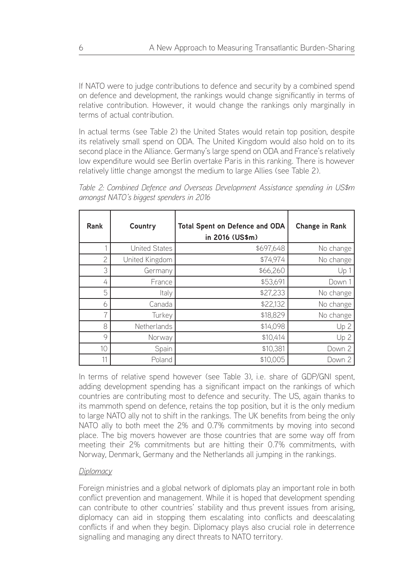If NATO were to judge contributions to defence and security by a combined spend on defence and development, the rankings would change significantly in terms of relative contribution. However, it would change the rankings only marginally in terms of actual contribution.

In actual terms (see Table 2) the United States would retain top position, despite its relatively small spend on ODA. The United Kingdom would also hold on to its second place in the Alliance. Germany's large spend on ODA and France's relatively low expenditure would see Berlin overtake Paris in this ranking. There is however relatively little change amongst the medium to large Allies (see Table 2).

*Table 2: Combined Defence and Overseas Development Assistance spending in US\$m amongst NATO's biggest spenders in 2016*

| Rank           | Country              | <b>Total Spent on Defence and ODA</b><br>in 2016 (US\$m) | <b>Change in Rank</b> |
|----------------|----------------------|----------------------------------------------------------|-----------------------|
|                | <b>United States</b> | \$697,648                                                | No change             |
| $\overline{c}$ | United Kingdom       | \$74,974                                                 | No change             |
| 3              | Germany              | \$66,260                                                 | Up <sub>1</sub>       |
| 4              | France               | \$53,691                                                 | Down 1                |
| 5              | Italy                | \$27,233                                                 | No change             |
| 6              | Canada               | \$22,132                                                 | No change             |
| 7              | Turkey               | \$18,829                                                 | No change             |
| 8              | Netherlands          | \$14,098                                                 | Up <sub>2</sub>       |
| 9              | Norway               | \$10,414                                                 | Up <sub>2</sub>       |
| 10             | Spain                | \$10,381                                                 | Down 2                |
| 11             | Poland               | \$10,005                                                 | Down 2                |

In terms of relative spend however (see Table 3), i.e. share of GDP/GNI spent, adding development spending has a significant impact on the rankings of which countries are contributing most to defence and security. The US, again thanks to its mammoth spend on defence, retains the top position, but it is the only medium to large NATO ally not to shift in the rankings. The UK benefits from being the only NATO ally to both meet the 2% and 0.7% commitments by moving into second place. The big movers however are those countries that are some way off from meeting their 2% commitments but are hitting their 0.7% commitments, with Norway, Denmark, Germany and the Netherlands all jumping in the rankings.

#### *Diplomacy*

Foreign ministries and a global network of diplomats play an important role in both conflict prevention and management. While it is hoped that development spending can contribute to other countries' stability and thus prevent issues from arising, diplomacy can aid in stopping them escalating into conflicts and deescalating conflicts if and when they begin. Diplomacy plays also crucial role in deterrence signalling and managing any direct threats to NATO territory.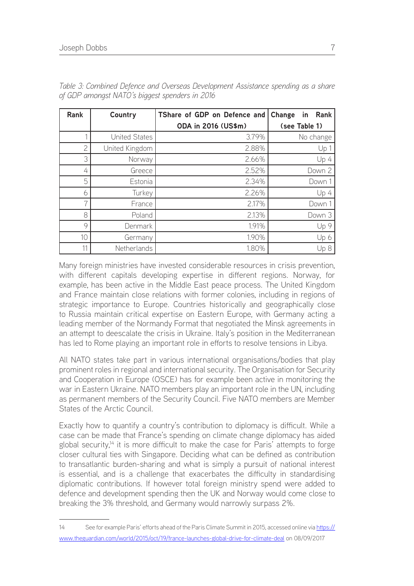| Rank | Country              | TShare of GDP on Defence and | Change<br>Rank<br>in |
|------|----------------------|------------------------------|----------------------|
|      |                      | ODA in 2016 (US\$m)          | (see Table 1)        |
|      | <b>United States</b> | 3.79%                        | No change            |
| 2    | United Kingdom       | 2.88%                        | Up <sub>1</sub>      |
| 3    | Norway               | 2.66%                        | Up 4                 |
| 4    | Greece               | 2.52%                        | Down 2               |
| 5    | Estonia              | 2.34%                        | Down 1               |
| 6    | Turkey               | 2.26%                        | Up4                  |
| 7    | France               | 2.17%                        | Down 1               |
| 8    | Poland               | 2.13%                        | Down 3               |
| 9    | Denmark              | 1.91%                        | Up 9                 |
| 10   | Germany              | 1.90%                        | Up 6                 |
|      | Netherlands          | 1.80%                        | Up <sub>8</sub>      |

*Table 3: Combined Defence and Overseas Development Assistance spending as a share of GDP amongst NATO's biggest spenders in 2016*

Many foreign ministries have invested considerable resources in crisis prevention, with different capitals developing expertise in different regions. Norway, for example, has been active in the Middle East peace process. The United Kingdom and France maintain close relations with former colonies, including in regions of strategic importance to Europe. Countries historically and geographically close to Russia maintain critical expertise on Eastern Europe, with Germany acting a leading member of the Normandy Format that negotiated the Minsk agreements in an attempt to deescalate the crisis in Ukraine. Italy's position in the Mediterranean has led to Rome playing an important role in efforts to resolve tensions in Libya.

All NATO states take part in various international organisations/bodies that play prominent roles in regional and international security. The Organisation for Security and Cooperation in Europe (OSCE) has for example been active in monitoring the war in Eastern Ukraine. NATO members play an important role in the UN, including as permanent members of the Security Council. Five NATO members are Member States of the Arctic Council.

Exactly how to quantify a country's contribution to diplomacy is difficult. While a case can be made that France's spending on climate change diplomacy has aided global security,<sup>14</sup> it is more difficult to make the case for Paris' attempts to forge closer cultural ties with Singapore. Deciding what can be defined as contribution to transatlantic burden-sharing and what is simply a pursuit of national interest is essential, and is a challenge that exacerbates the difficulty in standardising diplomatic contributions. If however total foreign ministry spend were added to defence and development spending then the UK and Norway would come close to breaking the 3% threshold, and Germany would narrowly surpass 2%.

<sup>14</sup> See for example Paris' efforts ahead of the Paris Climate Summit in 2015, accessed online via [https://](https://www.theguardian.com/world/2015/oct/19/france-launches-global-drive-for-climate-deal) [www.theguardian.com/world/2015/oct/19/france-launches-global-drive-for-climate-deal](https://www.theguardian.com/world/2015/oct/19/france-launches-global-drive-for-climate-deal) on 08/09/2017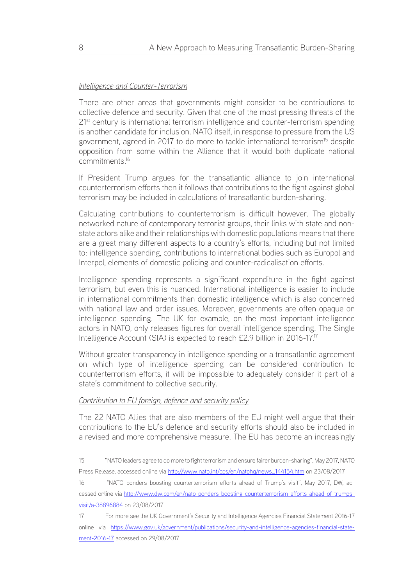#### *Intelligence and Counter-Terrorism*

There are other areas that governments might consider to be contributions to collective defence and security. Given that one of the most pressing threats of the 21<sup>st</sup> century is international terrorism intelligence and counter-terrorism spending is another candidate for inclusion. NATO itself, in response to pressure from the US government, agreed in 2017 to do more to tackle international terrorism<sup>15</sup> despite opposition from some within the Alliance that it would both duplicate national commitments.16

If President Trump argues for the transatlantic alliance to join international counterterrorism efforts then it follows that contributions to the fight against global terrorism may be included in calculations of transatlantic burden-sharing.

Calculating contributions to counterterrorism is difficult however. The globally networked nature of contemporary terrorist groups, their links with state and nonstate actors alike and their relationships with domestic populations means that there are a great many different aspects to a country's efforts, including but not limited to: intelligence spending, contributions to international bodies such as Europol and Interpol, elements of domestic policing and counter-radicalisation efforts.

Intelligence spending represents a significant expenditure in the fight against terrorism, but even this is nuanced. International intelligence is easier to include in international commitments than domestic intelligence which is also concerned with national law and order issues. Moreover, governments are often opaque on intelligence spending. The UK for example, on the most important intelligence actors in NATO, only releases figures for overall intelligence spending. The Single Intelligence Account (SIA) is expected to reach £2.9 billion in 2016-17.17

Without greater transparency in intelligence spending or a transatlantic agreement on which type of intelligence spending can be considered contribution to counterterrorism efforts, it will be impossible to adequately consider it part of a state's commitment to collective security.

#### *Contribution to EU foreign, defence and security policy*

The 22 NATO Allies that are also members of the EU might well argue that their contributions to the EU's defence and security efforts should also be included in a revised and more comprehensive measure. The EU has become an increasingly

<sup>15 &</sup>quot;NATO leaders agree to do more to fight terrorism and ensure fairer burden-sharing", May 2017, NATO Press Release, accessed online via http://www.nato.int/cps/en/natohg/news\_144154.htm on 23/08/2017

<sup>16 &</sup>quot;NATO ponders boosting counterterrorism efforts ahead of Trump's visit", May 2017, DW, accessed online via [http://www.dw.com/en/nato-ponders-boosting-counterterrorism-efforts-ahead-of-trumps](http://www.dw.com/en/nato-ponders-boosting-counterterrorism-efforts-ahead-of-trumps-visit/a-38896884)[visit/a-38896884](http://www.dw.com/en/nato-ponders-boosting-counterterrorism-efforts-ahead-of-trumps-visit/a-38896884) on 23/08/2017

<sup>17</sup> For more see the UK Government's Security and Intelligence Agencies Financial Statement 2016-17 online via [https://www.gov.uk/government/publications/security-and-intelligence-agencies-financial-state](https://www.gov.uk/government/publications/security-and-intelligence-agencies-financial-statement-2016-17)[ment-2016-17](https://www.gov.uk/government/publications/security-and-intelligence-agencies-financial-statement-2016-17) accessed on 29/08/2017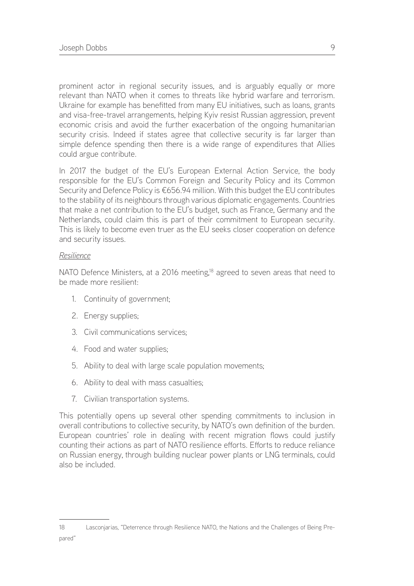prominent actor in regional security issues, and is arguably equally or more relevant than NATO when it comes to threats like hybrid warfare and terrorism. Ukraine for example has benefitted from many EU initiatives, such as loans, grants and visa-free-travel arrangements, helping Kyiv resist Russian aggression, prevent economic crisis and avoid the further exacerbation of the ongoing humanitarian security crisis. Indeed if states agree that collective security is far larger than simple defence spending then there is a wide range of expenditures that Allies could argue contribute.

In 2017 the budget of the EU's European External Action Service, the body responsible for the EU's Common Foreign and Security Policy and its Common Security and Defence Policy is €656.94 million. With this budget the EU contributes to the stability of its neighbours through various diplomatic engagements. Countries that make a net contribution to the EU's budget, such as France, Germany and the Netherlands, could claim this is part of their commitment to European security. This is likely to become even truer as the EU seeks closer cooperation on defence and security issues.

#### *Resilience*

NATO Defence Ministers, at a 2016 meeting,<sup>18</sup> agreed to seven areas that need to be made more resilient:

- 1. Continuity of government;
- 2. Energy supplies;
- 3. Civil communications services;
- 4. Food and water supplies;
- 5. Ability to deal with large scale population movements;
- 6. Ability to deal with mass casualties;
- 7. Civilian transportation systems.

This potentially opens up several other spending commitments to inclusion in overall contributions to collective security, by NATO's own definition of the burden. European countries' role in dealing with recent migration flows could justify counting their actions as part of NATO resilience efforts. Efforts to reduce reliance on Russian energy, through building nuclear power plants or LNG terminals, could also be included.

18 Lasconjarias, "Deterrence through Resilience NATO, the Nations and the Challenges of Being Pre-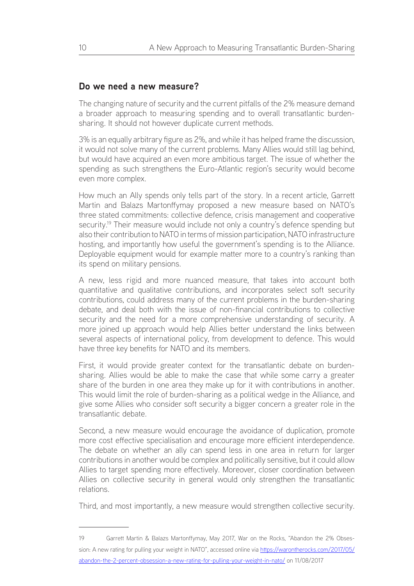#### **Do we need a new measure?**

The changing nature of security and the current pitfalls of the 2% measure demand a broader approach to measuring spending and to overall transatlantic burdensharing. It should not however duplicate current methods.

3% is an equally arbitrary figure as 2%, and while it has helped frame the discussion, it would not solve many of the current problems. Many Allies would still lag behind, but would have acquired an even more ambitious target. The issue of whether the spending as such strengthens the Euro-Atlantic region's security would become even more complex.

How much an Ally spends only tells part of the story. In a recent article, Garrett Martin and Balazs Martonffymay proposed a new measure based on NATO's three stated commitments: collective defence, crisis management and cooperative security.<sup>19</sup> Their measure would include not only a country's defence spending but also their contribution to NATO in terms of mission participation, NATO infrastructure hosting, and importantly how useful the government's spending is to the Alliance. Deployable equipment would for example matter more to a country's ranking than its spend on military pensions.

A new, less rigid and more nuanced measure, that takes into account both quantitative and qualitative contributions, and incorporates select soft security contributions, could address many of the current problems in the burden-sharing debate, and deal both with the issue of non-financial contributions to collective security and the need for a more comprehensive understanding of security. A more joined up approach would help Allies better understand the links between several aspects of international policy, from development to defence. This would have three key benefits for NATO and its members.

First, it would provide greater context for the transatlantic debate on burdensharing. Allies would be able to make the case that while some carry a greater share of the burden in one area they make up for it with contributions in another. This would limit the role of burden-sharing as a political wedge in the Alliance, and give some Allies who consider soft security a bigger concern a greater role in the transatlantic debate.

Second, a new measure would encourage the avoidance of duplication, promote more cost effective specialisation and encourage more efficient interdependence. The debate on whether an ally can spend less in one area in return for larger contributions in another would be complex and politically sensitive, but it could allow Allies to target spending more effectively. Moreover, closer coordination between Allies on collective security in general would only strengthen the transatlantic relations.

Third, and most importantly, a new measure would strengthen collective security.

19 Garrett Martin & Balazs Martonffymay, May 2017, War on the Rocks, "Abandon the 2% Obsession: A new rating for pulling your weight in NATO", accessed online via [https://warontherocks.com/2017/05/](https://warontherocks.com/2017/05/abandon-the-2-percent-obsession-a-new-rating-for-pulling-your-weight-in-nato/) [abandon-the-2-percent-obsession-a-new-rating-for-pulling-your-weight-in-nato/](https://warontherocks.com/2017/05/abandon-the-2-percent-obsession-a-new-rating-for-pulling-your-weight-in-nato/) on 11/08/2017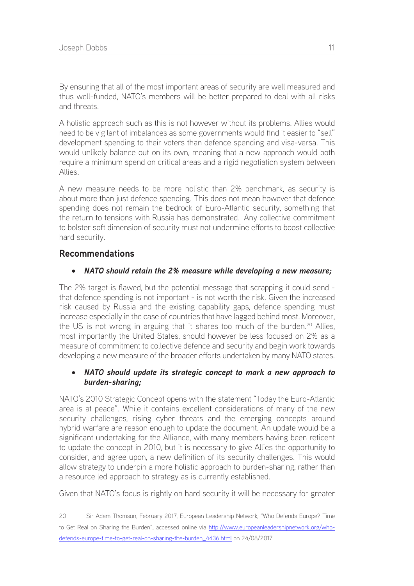By ensuring that all of the most important areas of security are well measured and thus well-funded, NATO's members will be better prepared to deal with all risks and threats.

A holistic approach such as this is not however without its problems. Allies would need to be vigilant of imbalances as some governments would find it easier to "sell" development spending to their voters than defence spending and visa-versa. This would unlikely balance out on its own, meaning that a new approach would both require a minimum spend on critical areas and a rigid negotiation system between Allies.

A new measure needs to be more holistic than 2% benchmark, as security is about more than just defence spending. This does not mean however that defence spending does not remain the bedrock of Euro-Atlantic security, something that the return to tensions with Russia has demonstrated. Any collective commitment to bolster soft dimension of security must not undermine efforts to boost collective hard security.

## **Recommendations**

#### • *NATO should retain the 2% measure while developing a new measure;*

The 2% target is flawed, but the potential message that scrapping it could send that defence spending is not important - is not worth the risk. Given the increased risk caused by Russia and the existing capability gaps, defence spending must increase especially in the case of countries that have lagged behind most. Moreover, the US is not wrong in arguing that it shares too much of the burden.<sup>20</sup> Allies, most importantly the United States, should however be less focused on 2% as a measure of commitment to collective defence and security and begin work towards developing a new measure of the broader efforts undertaken by many NATO states.

#### • *NATO should update its strategic concept to mark a new approach to burden-sharing;*

NATO's 2010 Strategic Concept opens with the statement "Today the Euro-Atlantic area is at peace". While it contains excellent considerations of many of the new security challenges, rising cyber threats and the emerging concepts around hybrid warfare are reason enough to update the document. An update would be a significant undertaking for the Alliance, with many members having been reticent to update the concept in 2010, but it is necessary to give Allies the opportunity to consider, and agree upon, a new definition of its security challenges. This would allow strategy to underpin a more holistic approach to burden-sharing, rather than a resource led approach to strategy as is currently established.

Given that NATO's focus is rightly on hard security it will be necessary for greater

<sup>20</sup> Sir Adam Thomson, February 2017, European Leadership Network, "Who Defends Europe? Time to Get Real on Sharing the Burden", accessed online via [http://www.europeanleadershipnetwork.org/who](http://www.europeanleadershipnetwork.org/who-defends-europe-time-to-get-real-on-sharing-the-burden_4436.html)[defends-europe-time-to-get-real-on-sharing-the-burden\\_4436.html](http://www.europeanleadershipnetwork.org/who-defends-europe-time-to-get-real-on-sharing-the-burden_4436.html) on 24/08/2017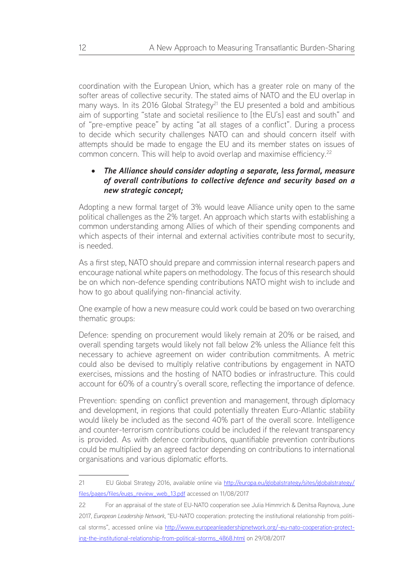coordination with the European Union, which has a greater role on many of the softer areas of collective security. The stated aims of NATO and the EU overlap in many ways. In its 2016 Global Strategy<sup>21</sup> the EU presented a bold and ambitious aim of supporting "state and societal resilience to [the EU's] east and south" and of "pre-emptive peace" by acting "at all stages of a conflict". During a process to decide which security challenges NATO can and should concern itself with attempts should be made to engage the EU and its member states on issues of common concern. This will help to avoid overlap and maximise efficiency.<sup>22</sup>

#### The Alliance should consider adopting a separate, less formal, measure *of overall contributions to collective defence and security based on a new strategic concept;*

Adopting a new formal target of 3% would leave Alliance unity open to the same political challenges as the 2% target. An approach which starts with establishing a common understanding among Allies of which of their spending components and which aspects of their internal and external activities contribute most to security, is needed.

As a first step, NATO should prepare and commission internal research papers and encourage national white papers on methodology. The focus of this research should be on which non-defence spending contributions NATO might wish to include and how to go about qualifying non-financial activity.

One example of how a new measure could work could be based on two overarching thematic groups:

Defence: spending on procurement would likely remain at 20% or be raised, and overall spending targets would likely not fall below 2% unless the Alliance felt this necessary to achieve agreement on wider contribution commitments. A metric could also be devised to multiply relative contributions by engagement in NATO exercises, missions and the hosting of NATO bodies or infrastructure. This could account for 60% of a country's overall score, reflecting the importance of defence.

Prevention: spending on conflict prevention and management, through diplomacy and development, in regions that could potentially threaten Euro-Atlantic stability would likely be included as the second 40% part of the overall score. Intelligence and counter-terrorism contributions could be included if the relevant transparency is provided. As with defence contributions, quantifiable prevention contributions could be multiplied by an agreed factor depending on contributions to international organisations and various diplomatic efforts.

<sup>21</sup> EU Global Strategy 2016, available online via [http://europa.eu/globalstrategy/sites/globalstrategy/](http://europa.eu/globalstrategy/sites/globalstrategy/files/pages/files/eugs_review_web_13.pdf) [files/pages/files/eugs\\_review\\_web\\_13.pdf](http://europa.eu/globalstrategy/sites/globalstrategy/files/pages/files/eugs_review_web_13.pdf) accessed on 11/08/2017

<sup>22</sup> For an appraisal of the state of EU-NATO cooperation see Julia Himmrich & Denitsa Raynova, June 2017, *European Leadership Network*, "EU-NATO cooperation: protecting the institutional relationship from political storms", accessed online via [http://www.europeanleadershipnetwork.org/-eu-nato-cooperation-protect](http://www.europeanleadershipnetwork.org/-eu-nato-cooperation-protecting-the-institutional-relationship-from-political-storms_4868.html)[ing-the-institutional-relationship-from-political-storms\\_4868.html](http://www.europeanleadershipnetwork.org/-eu-nato-cooperation-protecting-the-institutional-relationship-from-political-storms_4868.html) on 29/08/2017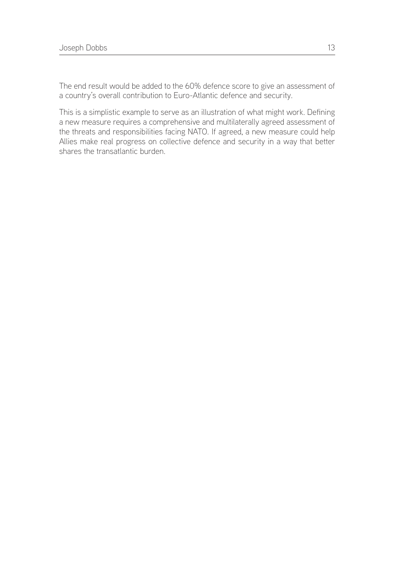The end result would be added to the 60% defence score to give an assessment of a country's overall contribution to Euro-Atlantic defence and security.

This is a simplistic example to serve as an illustration of what might work. Defining a new measure requires a comprehensive and multilaterally agreed assessment of the threats and responsibilities facing NATO. If agreed, a new measure could help Allies make real progress on collective defence and security in a way that better shares the transatlantic burden.